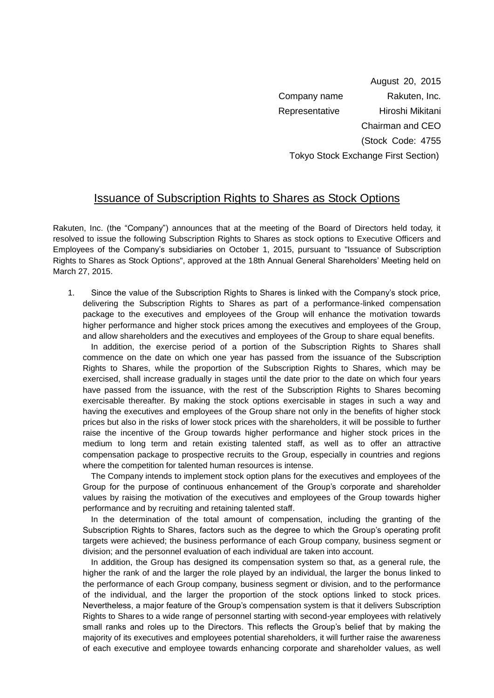August 20, 2015 Company name Rakuten, Inc. Representative Hiroshi Mikitani Chairman and CEO (Stock Code: 4755 Tokyo Stock Exchange First Section)

## Issuance of Subscription Rights to Shares as Stock Options

Rakuten, Inc. (the "Company") announces that at the meeting of the Board of Directors held today, it resolved to issue the following Subscription Rights to Shares as stock options to Executive Officers and Employees of the Company's subsidiaries on October 1, 2015, pursuant to "Issuance of Subscription Rights to Shares as Stock Options", approved at the 18th Annual General Shareholders' Meeting held on March 27, 2015.

1. Since the value of the Subscription Rights to Shares is linked with the Company's stock price, delivering the Subscription Rights to Shares as part of a performance-linked compensation package to the executives and employees of the Group will enhance the motivation towards higher performance and higher stock prices among the executives and employees of the Group, and allow shareholders and the executives and employees of the Group to share equal benefits.

In addition, the exercise period of a portion of the Subscription Rights to Shares shall commence on the date on which one year has passed from the issuance of the Subscription Rights to Shares, while the proportion of the Subscription Rights to Shares, which may be exercised, shall increase gradually in stages until the date prior to the date on which four years have passed from the issuance, with the rest of the Subscription Rights to Shares becoming exercisable thereafter. By making the stock options exercisable in stages in such a way and having the executives and employees of the Group share not only in the benefits of higher stock prices but also in the risks of lower stock prices with the shareholders, it will be possible to further raise the incentive of the Group towards higher performance and higher stock prices in the medium to long term and retain existing talented staff, as well as to offer an attractive compensation package to prospective recruits to the Group, especially in countries and regions where the competition for talented human resources is intense.

The Company intends to implement stock option plans for the executives and employees of the Group for the purpose of continuous enhancement of the Group's corporate and shareholder values by raising the motivation of the executives and employees of the Group towards higher performance and by recruiting and retaining talented staff.

In the determination of the total amount of compensation, including the granting of the Subscription Rights to Shares, factors such as the degree to which the Group's operating profit targets were achieved; the business performance of each Group company, business segment or division; and the personnel evaluation of each individual are taken into account.

In addition, the Group has designed its compensation system so that, as a general rule, the higher the rank of and the larger the role played by an individual, the larger the bonus linked to the performance of each Group company, business segment or division, and to the performance of the individual, and the larger the proportion of the stock options linked to stock prices. Nevertheless, a major feature of the Group's compensation system is that it delivers Subscription Rights to Shares to a wide range of personnel starting with second-year employees with relatively small ranks and roles up to the Directors. This reflects the Group's belief that by making the majority of its executives and employees potential shareholders, it will further raise the awareness of each executive and employee towards enhancing corporate and shareholder values, as well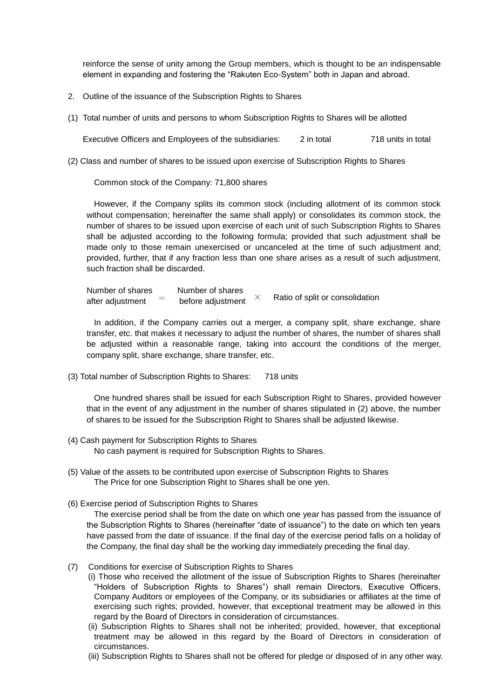reinforce the sense of unity among the Group members, which is thought to be an indispensable element in expanding and fostering the "Rakuten Eco-System" both in Japan and abroad.

- 2. Outline of the issuance of the Subscription Rights to Shares
- (1) Total number of units and persons to whom Subscription Rights to Shares will be allotted

Executive Officers and Employees of the subsidiaries: 2 in total 718 units in total

(2) Class and number of shares to be issued upon exercise of Subscription Rights to Shares

Common stock of the Company: 71,800 shares

However, if the Company splits its common stock (including allotment of its common stock without compensation; hereinafter the same shall apply) or consolidates its common stock, the number of shares to be issued upon exercise of each unit of such Subscription Rights to Shares shall be adjusted according to the following formula; provided that such adjustment shall be made only to those remain unexercised or uncanceled at the time of such adjustment and; provided, further, that if any fraction less than one share arises as a result of such adjustment, such fraction shall be discarded.

Number of shares Number of shares after adjustment  $\quad = \quad$  before adjustment  $\quad$   $\times$   $\quad$  Ratio of split or consolidation

In addition, if the Company carries out a merger, a company split, share exchange, share transfer, etc. that makes it necessary to adjust the number of shares, the number of shares shall be adjusted within a reasonable range, taking into account the conditions of the merger, company split, share exchange, share transfer, etc.

(3) Total number of Subscription Rights to Shares: 718 units

One hundred shares shall be issued for each Subscription Right to Shares, provided however that in the event of any adjustment in the number of shares stipulated in (2) above, the number of shares to be issued for the Subscription Right to Shares shall be adjusted likewise.

- (4) Cash payment for Subscription Rights to Shares No cash payment is required for Subscription Rights to Shares.
- (5) Value of the assets to be contributed upon exercise of Subscription Rights to Shares The Price for one Subscription Right to Shares shall be one yen.
- (6) Exercise period of Subscription Rights to Shares

The exercise period shall be from the date on which one year has passed from the issuance of the Subscription Rights to Shares (hereinafter "date of issuance") to the date on which ten years have passed from the date of issuance. If the final day of the exercise period falls on a holiday of the Company, the final day shall be the working day immediately preceding the final day.

- (7) Conditions for exercise of Subscription Rights to Shares
	- (i) Those who received the allotment of the issue of Subscription Rights to Shares (hereinafter "Holders of Subscription Rights to Shares") shall remain Directors, Executive Officers, Company Auditors or employees of the Company, or its subsidiaries or affiliates at the time of exercising such rights; provided, however, that exceptional treatment may be allowed in this regard by the Board of Directors in consideration of circumstances.
	- (ii) Subscription Rights to Shares shall not be inherited; provided, however, that exceptional treatment may be allowed in this regard by the Board of Directors in consideration of circumstances.
	- (iii) Subscription Rights to Shares shall not be offered for pledge or disposed of in any other way.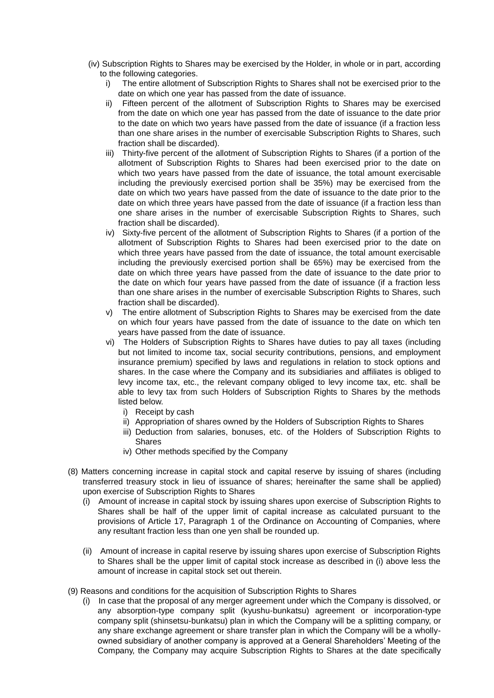- (iv) Subscription Rights to Shares may be exercised by the Holder, in whole or in part, according to the following categories.
	- i) The entire allotment of Subscription Rights to Shares shall not be exercised prior to the date on which one year has passed from the date of issuance.
	- ii) Fifteen percent of the allotment of Subscription Rights to Shares may be exercised from the date on which one year has passed from the date of issuance to the date prior to the date on which two years have passed from the date of issuance (if a fraction less than one share arises in the number of exercisable Subscription Rights to Shares, such fraction shall be discarded).
	- iii) Thirty-five percent of the allotment of Subscription Rights to Shares (if a portion of the allotment of Subscription Rights to Shares had been exercised prior to the date on which two years have passed from the date of issuance, the total amount exercisable including the previously exercised portion shall be 35%) may be exercised from the date on which two years have passed from the date of issuance to the date prior to the date on which three years have passed from the date of issuance (if a fraction less than one share arises in the number of exercisable Subscription Rights to Shares, such fraction shall be discarded).
	- iv) Sixty-five percent of the allotment of Subscription Rights to Shares (if a portion of the allotment of Subscription Rights to Shares had been exercised prior to the date on which three years have passed from the date of issuance, the total amount exercisable including the previously exercised portion shall be 65%) may be exercised from the date on which three years have passed from the date of issuance to the date prior to the date on which four years have passed from the date of issuance (if a fraction less than one share arises in the number of exercisable Subscription Rights to Shares, such fraction shall be discarded).
	- v) The entire allotment of Subscription Rights to Shares may be exercised from the date on which four years have passed from the date of issuance to the date on which ten years have passed from the date of issuance.
	- vi) The Holders of Subscription Rights to Shares have duties to pay all taxes (including but not limited to income tax, social security contributions, pensions, and employment insurance premium) specified by laws and regulations in relation to stock options and shares. In the case where the Company and its subsidiaries and affiliates is obliged to levy income tax, etc., the relevant company obliged to levy income tax, etc. shall be able to levy tax from such Holders of Subscription Rights to Shares by the methods listed below.
		- i) Receipt by cash
		- ii) Appropriation of shares owned by the Holders of Subscription Rights to Shares
		- iii) Deduction from salaries, bonuses, etc. of the Holders of Subscription Rights to **Shares**
		- iv) Other methods specified by the Company
- (8) Matters concerning increase in capital stock and capital reserve by issuing of shares (including transferred treasury stock in lieu of issuance of shares; hereinafter the same shall be applied) upon exercise of Subscription Rights to Shares
	- (i) Amount of increase in capital stock by issuing shares upon exercise of Subscription Rights to Shares shall be half of the upper limit of capital increase as calculated pursuant to the provisions of Article 17, Paragraph 1 of the Ordinance on Accounting of Companies, where any resultant fraction less than one yen shall be rounded up.
	- (ii) Amount of increase in capital reserve by issuing shares upon exercise of Subscription Rights to Shares shall be the upper limit of capital stock increase as described in (i) above less the amount of increase in capital stock set out therein.
- (9) Reasons and conditions for the acquisition of Subscription Rights to Shares
	- (i) In case that the proposal of any merger agreement under which the Company is dissolved, or any absorption-type company split (kyushu-bunkatsu) agreement or incorporation-type company split (shinsetsu-bunkatsu) plan in which the Company will be a splitting company, or any share exchange agreement or share transfer plan in which the Company will be a whollyowned subsidiary of another company is approved at a General Shareholders' Meeting of the Company, the Company may acquire Subscription Rights to Shares at the date specifically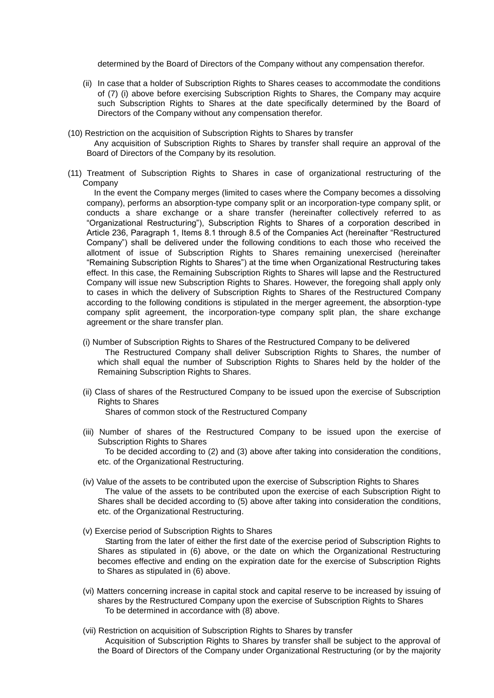determined by the Board of Directors of the Company without any compensation therefor.

- (ii) In case that a holder of Subscription Rights to Shares ceases to accommodate the conditions of (7) (i) above before exercising Subscription Rights to Shares, the Company may acquire such Subscription Rights to Shares at the date specifically determined by the Board of Directors of the Company without any compensation therefor.
- (10) Restriction on the acquisition of Subscription Rights to Shares by transfer
	- Any acquisition of Subscription Rights to Shares by transfer shall require an approval of the Board of Directors of the Company by its resolution.
- (11) Treatment of Subscription Rights to Shares in case of organizational restructuring of the Company

In the event the Company merges (limited to cases where the Company becomes a dissolving company), performs an absorption-type company split or an incorporation-type company split, or conducts a share exchange or a share transfer (hereinafter collectively referred to as "Organizational Restructuring"), Subscription Rights to Shares of a corporation described in Article 236, Paragraph 1, Items 8.1 through 8.5 of the Companies Act (hereinafter "Restructured Company") shall be delivered under the following conditions to each those who received the allotment of issue of Subscription Rights to Shares remaining unexercised (hereinafter "Remaining Subscription Rights to Shares") at the time when Organizational Restructuring takes effect. In this case, the Remaining Subscription Rights to Shares will lapse and the Restructured Company will issue new Subscription Rights to Shares. However, the foregoing shall apply only to cases in which the delivery of Subscription Rights to Shares of the Restructured Company according to the following conditions is stipulated in the merger agreement, the absorption-type company split agreement, the incorporation-type company split plan, the share exchange agreement or the share transfer plan.

- (i) Number of Subscription Rights to Shares of the Restructured Company to be delivered The Restructured Company shall deliver Subscription Rights to Shares, the number of which shall equal the number of Subscription Rights to Shares held by the holder of the Remaining Subscription Rights to Shares.
- (ii) Class of shares of the Restructured Company to be issued upon the exercise of Subscription Rights to Shares Shares of common stock of the Restructured Company
- (iii) Number of shares of the Restructured Company to be issued upon the exercise of Subscription Rights to Shares To be decided according to (2) and (3) above after taking into consideration the conditions, etc. of the Organizational Restructuring.
- (iv) Value of the assets to be contributed upon the exercise of Subscription Rights to Shares The value of the assets to be contributed upon the exercise of each Subscription Right to Shares shall be decided according to (5) above after taking into consideration the conditions, etc. of the Organizational Restructuring.
- (v) Exercise period of Subscription Rights to Shares Starting from the later of either the first date of the exercise period of Subscription Rights to Shares as stipulated in (6) above, or the date on which the Organizational Restructuring becomes effective and ending on the expiration date for the exercise of Subscription Rights to Shares as stipulated in (6) above.
- (vi) Matters concerning increase in capital stock and capital reserve to be increased by issuing of shares by the Restructured Company upon the exercise of Subscription Rights to Shares To be determined in accordance with (8) above.
- (vii) Restriction on acquisition of Subscription Rights to Shares by transfer Acquisition of Subscription Rights to Shares by transfer shall be subject to the approval of the Board of Directors of the Company under Organizational Restructuring (or by the majority